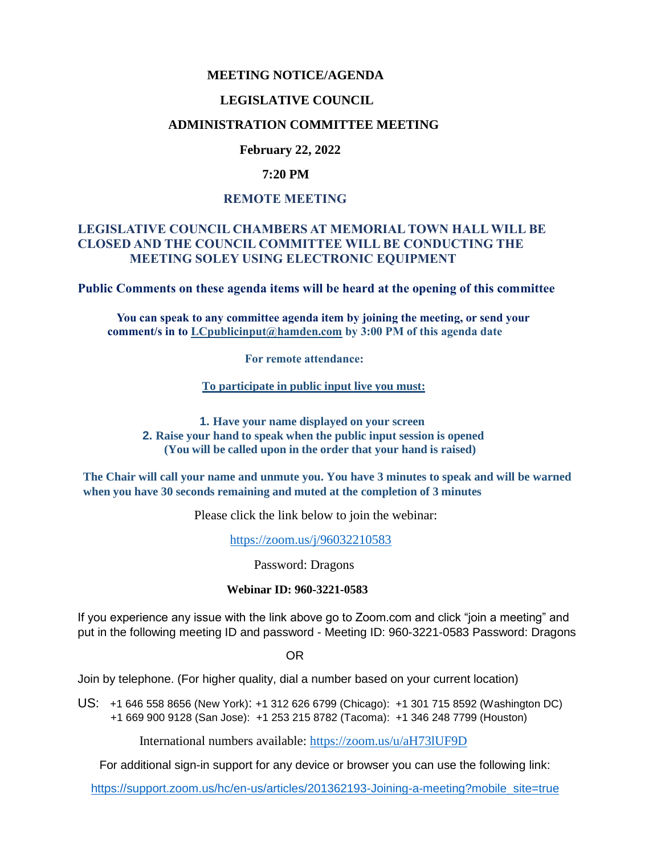# **MEETING NOTICE/AGENDA**

## **LEGISLATIVE COUNCIL**

# **ADMINISTRATION COMMITTEE MEETING**

# **February 22, 2022**

## **7:20 PM**

# **REMOTE MEETING**

# **LEGISLATIVE COUNCIL CHAMBERS AT MEMORIAL TOWN HALL WILL BE CLOSED AND THE COUNCIL COMMITTEE WILL BE CONDUCTING THE MEETING SOLEY USING ELECTRONIC EQUIPMENT**

**Public Comments on these agenda items will be heard at the opening of this committee** 

 **You can speak to any committee agenda item by joining the meeting, or send your comment/s in to [LCpublicinput@hamden.com](mailto:LCpublicinput@hamden.com) by 3:00 PM of this agenda date**

 **For remote attendance:**

**To participate in public input live you must:**

**1. Have your name displayed on your screen 2. Raise your hand to speak when the public input session is opened (You will be called upon in the order that your hand is raised)**

**The Chair will call your name and unmute you. You have 3 minutes to speak and will be warned when you have 30 seconds remaining and muted at the completion of 3 minutes**

Please click the link below to join the webinar:

<https://zoom.us/j/96032210583>

Password: Dragons

#### **Webinar ID: 960-3221-0583**

If you experience any issue with the link above go to Zoom.com and click "join a meeting" and put in the following meeting ID and password - Meeting ID: 960-3221-0583 Password: Dragons

OR

Join by telephone. (For higher quality, dial a number based on your current location)

US: [+1 646 558 8656 \(New York\)](tel:+16465588656): [+1 312 626 6799 \(Chicago\):](tel:+13126266799) [+1 301 715 8592 \(Washington DC\)](tel:+13017158592) +1 669 900 9128 (San Jose): [+1 253 215 8782 \(Tacoma\):](tel:+12532158782) [+1 346 248 7799 \(Houston\)](tel:+13462487799)

International numbers available:<https://zoom.us/u/aH73lUF9D>

For additional sign-in support for any device or browser you can use the following link:

[https://support.zoom.us/hc/en-us/articles/201362193-Joining-a-meeting?mobile\\_site=true](https://support.zoom.us/hc/en-us/articles/201362193-Joining-a-meeting?mobile_site=true)